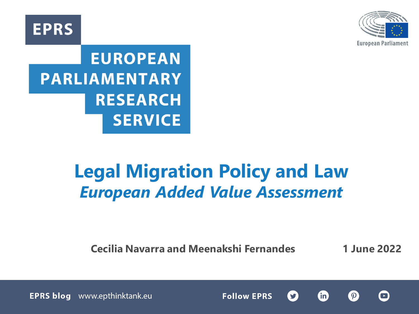**EPRS** 



# **EUROPEAN PARLIAMENTARY RESEARCH SERVICE**

# **Legal Migration Policy and Law** *European Added Value Assessment*

**Cecilia Navarra and Meenakshi Fernandes 1 June 2022**

**Follow EPRS** 

 $\blacksquare$ 

 $\boldsymbol{\Omega}$ 

**fin** 

S

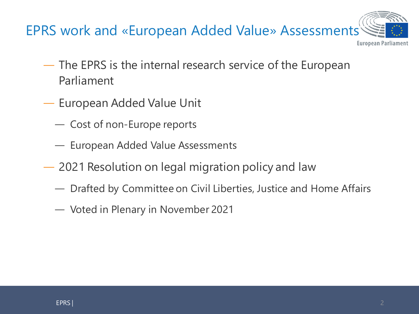

- ― The EPRS is the internal research service of the European Parliament
- ― European Added Value Unit
	- ― Cost of non-Europe reports
	- ― European Added Value Assessments
- ― 2021 Resolution on legal migration policy and law
	- ― Drafted by Committee on Civil Liberties, Justice and Home Affairs
	- ― Voted in Plenary in November 2021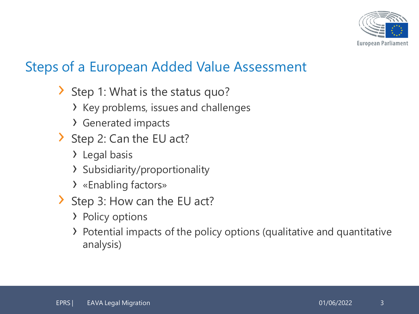

#### Steps of a European Added Value Assessment

- › Step 1: What is the status quo?
	- › Key problems, issues and challenges
	- › Generated impacts
- › Step 2: Can the EU act?
	- › Legal basis
	- › Subsidiarity/proportionality
	- › «Enabling factors»
- › Step 3: How can the EU act?
	- › Policy options
	- › Potential impacts of the policy options (qualitative and quantitative analysis)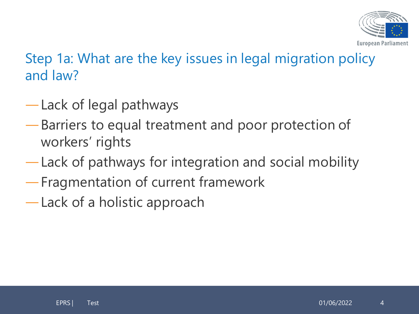

Step 1a: What are the key issues in legal migration policy and law?

- ―Lack of legal pathways
- ―Barriers to equal treatment and poor protection of workers' rights
- ―Lack of pathways for integration and social mobility
- ―Fragmentation of current framework
- ―Lack of a holistic approach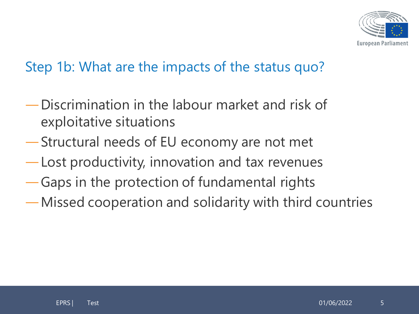

#### Step 1b: What are the impacts of the status quo?

- ―Discrimination in the labour market and risk of exploitative situations
- ―Structural needs of EU economy are not met
- ―Lost productivity, innovation and tax revenues
- ―Gaps in the protection of fundamental rights
- ―Missed cooperation and solidarity with third countries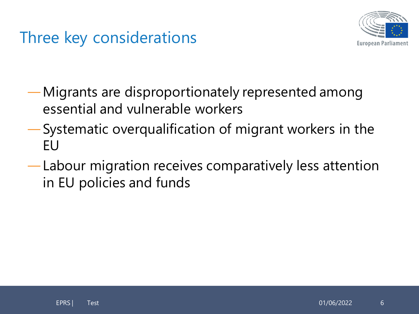## Three key considerations



- ―Migrants are disproportionately represented among essential and vulnerable workers
- ―Systematic overqualification of migrant workers in the EU
- ―Labour migration receives comparatively less attention in EU policies and funds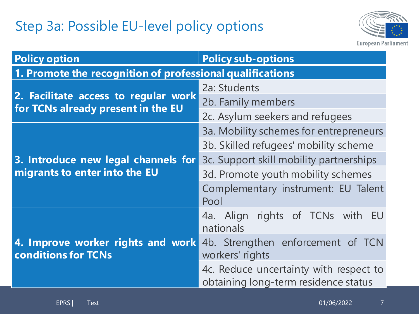## Step 3a: Possible EU-level policy options



| <b>Policy option</b>                                                       | <b>Policy sub-options</b>                                                      |
|----------------------------------------------------------------------------|--------------------------------------------------------------------------------|
| 1. Promote the recognition of professional qualifications                  |                                                                                |
| 2. Facilitate access to regular work<br>for TCNs already present in the EU | 2a: Students                                                                   |
|                                                                            | 2b. Family members                                                             |
|                                                                            | 2c. Asylum seekers and refugees                                                |
| 3. Introduce new legal channels for<br>migrants to enter into the EU       | 3a. Mobility schemes for entrepreneurs                                         |
|                                                                            | 3b. Skilled refugees' mobility scheme                                          |
|                                                                            | 3c. Support skill mobility partnerships                                        |
|                                                                            | 3d. Promote youth mobility schemes                                             |
|                                                                            | Complementary instrument: EU Talent<br>Pool                                    |
| 4. Improve worker rights and work<br><b>conditions for TCNs</b>            | 4a. Align rights of TCNs with EU<br>nationals                                  |
|                                                                            | 4b. Strengthen enforcement of TCN<br>workers' rights                           |
|                                                                            | 4c. Reduce uncertainty with respect to<br>obtaining long-term residence status |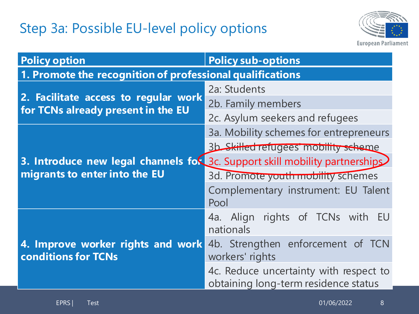### Step 3a: Possible EU-level policy options



| <b>Policy option</b>                                                                                         | <b>Policy sub-options</b>                                                      |
|--------------------------------------------------------------------------------------------------------------|--------------------------------------------------------------------------------|
| 1. Promote the recognition of professional qualifications                                                    |                                                                                |
| 2. Facilitate access to regular work<br>for TCNs already present in the EU                                   | 2a: Students                                                                   |
|                                                                                                              | 2b. Family members                                                             |
|                                                                                                              | 2c. Asylum seekers and refugees                                                |
| 3. Introduce new legal channels for 3c. Support skill mobility partnerships<br>migrants to enter into the EU | 3a. Mobility schemes for entrepreneurs                                         |
|                                                                                                              | 3b Skilled refugees' mobility scheme                                           |
|                                                                                                              |                                                                                |
|                                                                                                              | 3d. Promote youth mobility schemes                                             |
|                                                                                                              | Complementary instrument: EU Talent<br>Pool                                    |
| 4. Improve worker rights and work<br><b>conditions for TCNs</b>                                              | 4a. Align rights of TCNs with EU<br>nationals                                  |
|                                                                                                              | 4b. Strengthen enforcement of TCN<br>workers' rights                           |
|                                                                                                              | 4c. Reduce uncertainty with respect to<br>obtaining long-term residence status |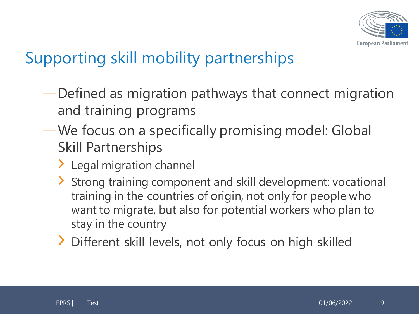

## Supporting skill mobility partnerships

- ―Defined as migration pathways that connect migration and training programs
- ―We focus on a specifically promising model: Global Skill Partnerships
	- > Legal migration channel
	- › Strong training component and skill development: vocational training in the countries of origin, not only for people who want to migrate, but also for potential workers who plan to stay in the country
	- › Different skill levels, not only focus on high skilled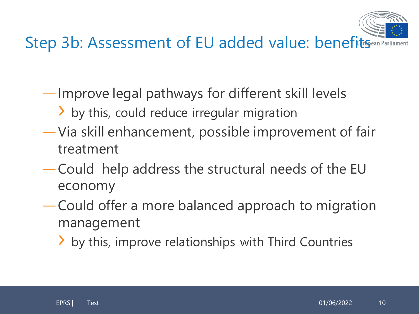

Step 3b: Assessment of EU added value: benefits Gean Parliament

- ―Improve legal pathways for different skill levels
	- > by this, could reduce irregular migration
- ―Via skill enhancement, possible improvement of fair treatment
- ―Could help address the structural needs of the EU economy
- ―Could offer a more balanced approach to migration management
	- > by this, improve relationships with Third Countries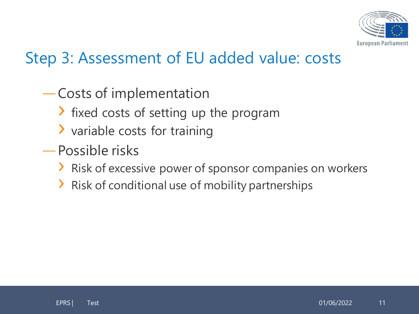

## Step 3: Assessment of EU added value: costs

- ―Costs of implementation
	- › fixed costs of setting up the program
	- › variable costs for training
- ―Possible risks
	- › Risk of excessive power of sponsor companies on workers
	- › Risk of conditional use of mobility partnerships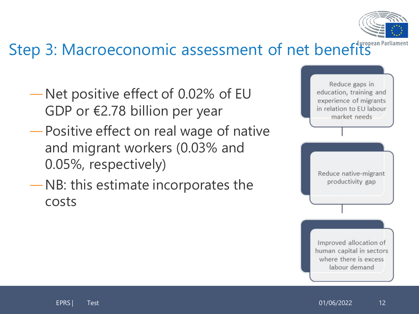

# Step 3: Macroeconomic assessment of net benefits

- ―Net positive effect of 0.02% of EU GDP or €2.78 billion per year
- ―Positive effect on real wage of native and migrant workers (0.03% and 0.05%, respectively)
- ―NB: this estimate incorporates the costs

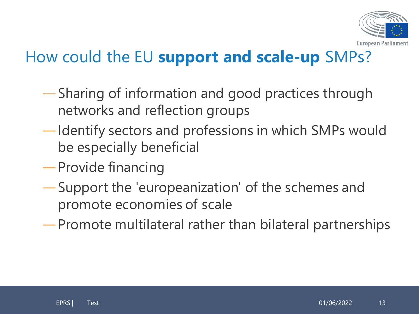

## How could the EU **support and scale-up** SMPs?

- ―Sharing of information and good practices through networks and reflection groups
- ―Identify sectors and professions in which SMPs would be especially beneficial
- ―Provide financing
- ―Support the 'europeanization' of the schemes and promote economies of scale
- ―Promote multilateral rather than bilateral partnerships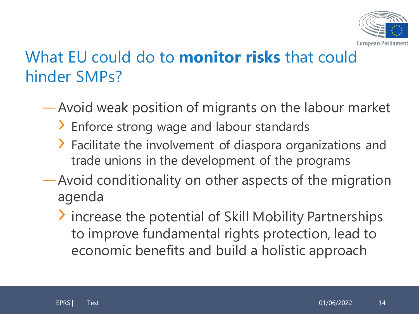

## What EU could do to **monitor risks** that could hinder SMPs?

- ―Avoid weak position of migrants on the labour market
	- › Enforce strong wage and labour standards
	- › Facilitate the involvement of diaspora organizations and trade unions in the development of the programs
- ―Avoid conditionality on other aspects of the migration agenda
	- › increase the potential of Skill Mobility Partnerships to improve fundamental rights protection, lead to economic benefits and build a holistic approach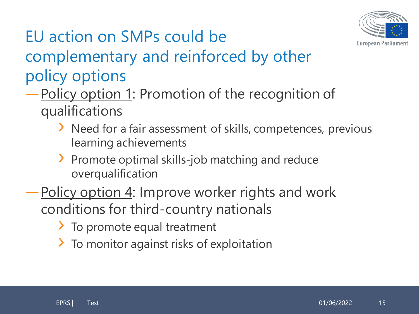

## EU action on SMPs could be complementary and reinforced by other policy options

## ―Policy option 1: Promotion of the recognition of qualifications

- › Need for a fair assessment of skills, competences, previous learning achievements
- › Promote optimal skills-job matching and reduce overqualification
- Policy option 4: Improve worker rights and work conditions for third-country nationals
	- › To promote equal treatment
	- > To monitor against risks of exploitation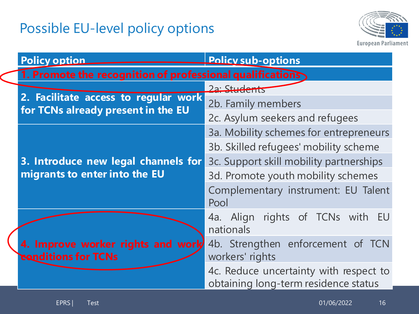## Possible EU-level policy options



| <b>Policy option</b>                                                       | <b>Policy sub-options</b>                                                      |
|----------------------------------------------------------------------------|--------------------------------------------------------------------------------|
| 1. Promote the recognition of professional qualifications                  |                                                                                |
|                                                                            | 2a: Students                                                                   |
| 2. Facilitate access to regular work<br>for TCNs already present in the EU | 2b. Family members                                                             |
|                                                                            | 2c. Asylum seekers and refugees                                                |
| 3. Introduce new legal channels for<br>migrants to enter into the EU       | 3a. Mobility schemes for entrepreneurs                                         |
|                                                                            | 3b. Skilled refugees' mobility scheme                                          |
|                                                                            | 3c. Support skill mobility partnerships                                        |
|                                                                            | 3d. Promote youth mobility schemes                                             |
|                                                                            | Complementary instrument: EU Talent<br>Pool                                    |
| 4. Improve worker rights and worly<br><b>Exanditions for TCNs</b>          | 4a. Align rights of TCNs with<br>EU<br>nationals                               |
|                                                                            | 4b. Strengthen enforcement of TCN<br>workers' rights                           |
|                                                                            | 4c. Reduce uncertainty with respect to<br>obtaining long-term residence status |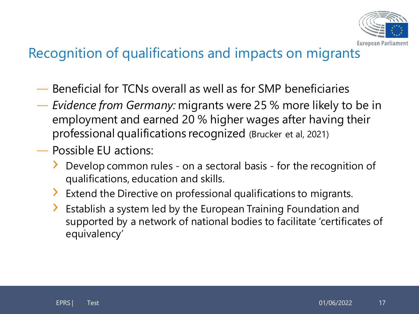

#### Recognition of qualifications and impacts on migrants

- ― Beneficial for TCNs overall as well as for SMP beneficiaries
- ― *Evidence from Germany:* migrants were 25 % more likely to be in employment and earned 20 % higher wages after having their professional qualifications recognized (Brucker et al, 2021)
- ― Possible EU actions:
	- › Develop common rules on a sectoral basis for the recognition of qualifications, education and skills.
	- › Extend the Directive on professional qualifications to migrants.
	- > Establish a system led by the European Training Foundation and supported by a network of national bodies to facilitate 'certificates of equivalency'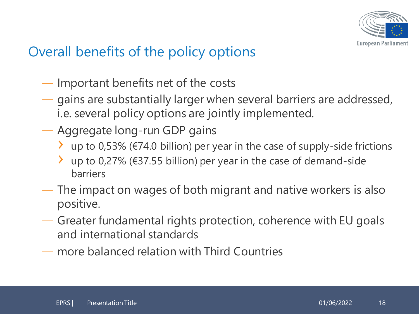

#### Overall benefits of the policy options

- ― Important benefits net of the costs
- ― gains are substantially larger when several barriers are addressed, i.e. several policy options are jointly implemented.
- ― Aggregate long-run GDP gains
	- $\lambda$  up to 0,53% (€74.0 billion) per year in the case of supply-side frictions
	- > up to 0,27% (€37.55 billion) per year in the case of demand-side barriers
- ― The impact on wages of both migrant and native workers is also positive.
- ― Greater fundamental rights protection, coherence with EU goals and international standards
- ― more balanced relation with Third Countries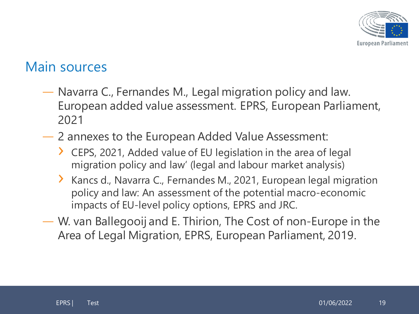

#### Main sources

- ― Navarra C., Fernandes M., Legal migration policy and law. European added value assessment. EPRS, European Parliament, 2021
- ― 2 annexes to the European Added Value Assessment:
	- › CEPS, 2021, Added value of EU legislation in the area of legal migration policy and law' (legal and labour market analysis)
	- › Kancs d., Navarra C., Fernandes M., 2021, European legal migration policy and law: An assessment of the potential macro-economic impacts of EU-level policy options, EPRS and JRC.
- ― W. van Ballegooij and E. Thirion, The Cost of non-Europe in the Area of Legal Migration, EPRS, European Parliament, 2019.